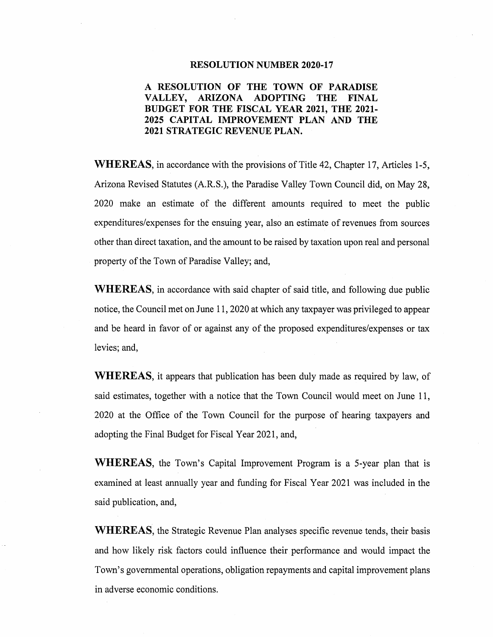### **RESOLUTION NUMBER 2020-17**

# **A RESOLUTION OF THE TOWN OF PARADISE VALLEY, ARIZONA ADOPTING THE FINAL BUDGET FOR THE FISCAL YEAR 2021, THE 2021- 2025 CAPITAL IMPROVEMENT PLAN AND THE 2021 STRATEGIC REVENUE PLAN.**

**WHEREAS,** in accordance with the provisions of Title 42, Chapter 17, Articles 1-5, Arizona Revised Statutes (A.RS.), the Paradise Valley Town Council did, on May 28, 2020 make an estimate of the different amounts required to meet the public expenditures/expenses for the ensuing year, also an estimate of revenues from sources other than direct taxation, and the amount to be raised by taxation upon real and personal property of the Town of Paradise Valley; and,

**WHEREAS,** in accordance with said chapter of said title, and following due public notice, the Council met on June 11, 2020 at which any taxpayer was privileged to appear and be heard in favor of or against any of the proposed expenditures/expenses or tax levies; and,

**WHEREAS,** it appears that publication has been duly made as required by law, of said estimates, together with a notice that the Town Council would meet on June 11, 2020 at the Office of the Town Council for the purpose of hearing taxpayers and adopting the Final Budget for Fiscal Year 2021, and,

**WHEREAS,** the Town's Capital Improvement Program is a 5-year plan that is examined at least annually year and funding for Fiscal Year 2021 was included in the said publication, and,

**WHEREAS,** the Strategic Revenue Plan analyses specific revenue tends, their basis and how likely risk factors could influence their performance and would impact the Town's governmental operations, obligation repayments and capital improvement plans in adverse economic conditions.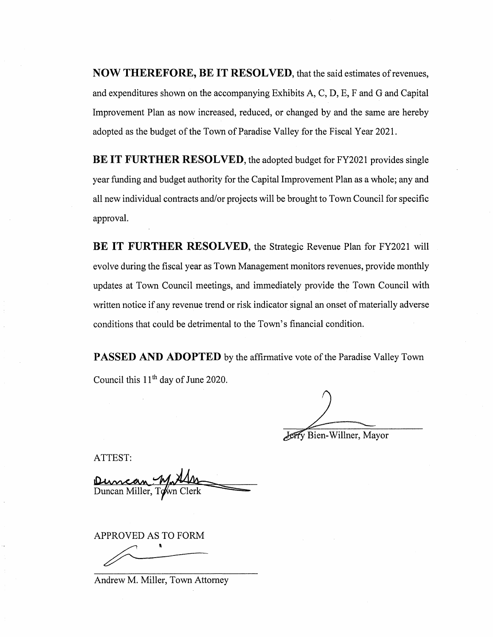**NOW THEREFORE, BE IT RESOLVED**, that the said estimates of revenues, and expenditures shown on the accompanying Exhibits A, C, D, E, F and G and Capital Improvement Plan as now increased, reduced, or changed by and the same are hereby adopted as the budget of the Town of Paradise Valley for the Fiscal Year 2021.

**BE IT FURTHER RESOLVED, the adopted budget for FY2021 provides single** year funding and budget authority for the Capital Improvement Plan as a whole; any and all new individual contracts and/or projects will be brought to Town Council for specific approval.

**BE IT FURTHER RESOLVED, the Strategic Revenue Plan for FY2021 will** evolve during the fiscal year as Town Management monitors revenues, provide monthly updates at Town Council meetings, and immediately provide the Town Council with written notice if any revenue trend or risk indicator signal an onset of materially adverse conditions that could be detrimental to the Town's financial condition.

**PASSED AND ADOPTED** by the affirmative vote of the Paradise Valley Town Council this 11<sup>th</sup> day of June 2020.

Jerry Bien-Willner, Mayor

ATTEST:

Duncan Miller, T

APPROVED AS TO FORM I

Andrew M. Miller, Town Attorney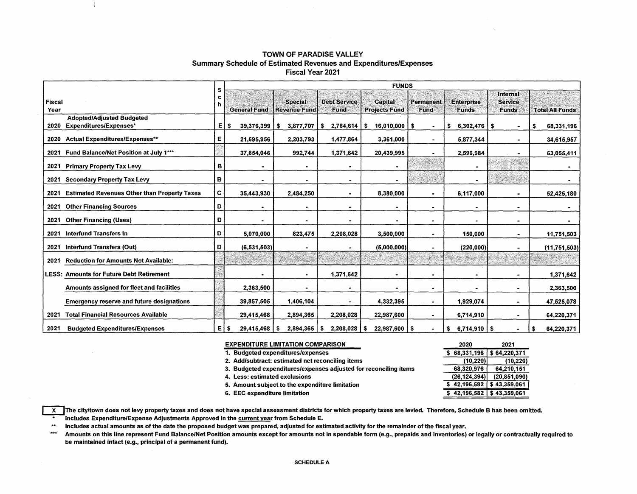### **TOWN** OF **PARADISE VALLEY**  Summary Schedule of Estimated Revenues and Expenditures/Expenses Fiscal Year 2021

|                                                             | s | <b>FUNDS</b>            |                     |                     |                                 |                |                        |                |                        |  |  |  |  |
|-------------------------------------------------------------|---|-------------------------|---------------------|---------------------|---------------------------------|----------------|------------------------|----------------|------------------------|--|--|--|--|
|                                                             | c |                         |                     |                     |                                 |                |                        | Internal       |                        |  |  |  |  |
| <b>Fiscal</b>                                               | h |                         | <b>Special:</b>     | <b>Debt Service</b> | <b>Capital</b>                  | Permanent      | <b>Enterprise</b>      | <b>Service</b> |                        |  |  |  |  |
| Year                                                        |   | <b>General Fund</b>     | <b>Revenue Fund</b> | Fund                | <b>Projects Fund</b>            | Fund           | <b>Funds</b>           | <b>Funds</b>   | <b>Total All Funds</b> |  |  |  |  |
| <b>Adopted/Adjusted Budgeted</b>                            |   |                         |                     |                     |                                 |                |                        |                |                        |  |  |  |  |
| Expenditures/Expenses*<br>2020                              | Е | 39,376,399<br>- \$      | 3,877,707<br>-S     | 2,764,614<br>s      | $16,010,000$   \$<br>$\cdot$ \$ | $\blacksquare$ | $6,302,476$   \$<br>\$ | $\bullet$      | 68,331,196<br>\$       |  |  |  |  |
| <b>Actual Expenditures/Expenses**</b><br>2020               | Е | 21,695,956              | 2,203,793           | 1,477,864           | 3,361,000                       | $\blacksquare$ | 5,877,344              | $\sim$         | 34,615,957             |  |  |  |  |
| Fund Balance/Net Position at July 1***<br>2021              |   | 37,654,046              | 992,744             | 1,371,642           | 20,439,995                      | $\blacksquare$ | 2,596,984              | $\blacksquare$ | 63,055,411             |  |  |  |  |
| <b>Primary Property Tax Levy</b><br>2021                    | в |                         |                     |                     | ۰.                              |                | $\blacksquare$         |                |                        |  |  |  |  |
| <b>Secondary Property Tax Levy</b><br>2021                  | в |                         |                     |                     | ۰                               |                |                        |                |                        |  |  |  |  |
| <b>Estimated Revenues Other than Property Taxes</b><br>2021 | c | 35,443,930              | 2,484,250           |                     | 8,380,000                       | ۰              | 6,117,000              | $\blacksquare$ | 52,425,180             |  |  |  |  |
| <b>Other Financing Sources</b><br>2021                      | D |                         |                     |                     | $\bullet$                       | $\blacksquare$ | ۰                      | $\blacksquare$ |                        |  |  |  |  |
| <b>Other Financing (Uses)</b><br>2021                       | D |                         |                     |                     |                                 | $\blacksquare$ | $\bullet$              | $\bullet$      |                        |  |  |  |  |
| Interfund Transfers In<br>2021                              | D | 5,070,000               | 823,475             | 2,208,028           | 3,500,000                       | $\blacksquare$ | 150,000                | $\bullet$      | 11,751,503             |  |  |  |  |
| <b>Interfund Transfers (Out)</b><br>2021                    | D | (6, 531, 503)           |                     |                     | (5,000,000)                     | ٠              | (220,000)              | $\blacksquare$ | (11,751,503)           |  |  |  |  |
| <b>Reduction for Amounts Not Available:</b><br>2021         |   |                         |                     |                     |                                 |                |                        |                |                        |  |  |  |  |
| <b>LESS: Amounts for Future Debt Retirement</b>             |   |                         |                     | 1,371,642           | $\bullet$                       | ۰              | ۰                      | $\blacksquare$ | 1,371,642              |  |  |  |  |
| Amounts assigned for fleet and facilities                   |   | 2,363,500               |                     |                     | -                               | $\blacksquare$ | $\blacksquare$         | $\blacksquare$ | 2,363,500              |  |  |  |  |
| <b>Emergency reserve and future designations</b>            |   | 39,857,505              | 1,406,104           |                     | 4,332,395                       | $\bullet$      | 1,929,074              | $\blacksquare$ | 47,525,078             |  |  |  |  |
| <b>Total Financial Resources Available</b><br>2021          |   | 29,415,468              | 2,894,365           | 2,208,028           | 22,987,600                      | ۰.             | 6,714,910              | $\blacksquare$ | 64,220,371             |  |  |  |  |
| 2021<br><b>Budgeted Expenditures/Expenses</b>               | E | Ŝ.<br>$29,415,468$   \$ | 2,894,365           | 2,208,028<br>- \$   | $22,987,600$   \$<br>l \$       |                | $6,714,910$ \$<br>\$   |                | 64,220,371<br>\$       |  |  |  |  |

| <b>EXPENDITURE LIMITATION COMPARISON</b>                         | 2020           | 2021           |
|------------------------------------------------------------------|----------------|----------------|
| 1. Budgeted expenditures/expenses                                | \$68,331,196   | \$64,220,371   |
| 2. Add/subtract: estimated net reconciling items                 | (10, 220)      | (10, 220)      |
| 3. Budgeted expenditures/expenses adjusted for reconciling items | 68,320,976     | 64.210.151     |
| 4. Less: estimated exclusions                                    | (26, 124, 394) | (20, 851, 090) |
| 5. Amount subject to the expenditure limitation                  | 42,196,582     | \$43,359,061   |
| 6. EEC expenditure limitation                                    | 42,196,582     | \$43,359,061   |

X The city/town does not levy property taxes and does not have special assessment districts for which property taxes are levied. Therefore, Schedule B has been omitted. **Tincludes Expenditure/Expense Adjustments Approved in the <u>current yea</u>r from Schedule E.** 

 $\star\star$ Includes actual amounts as of the date the proposed budget was prepared, adjusted for estimated activity for the remainder of the fiscal year.

 $***$ Amounts on this line represent Fund Balance/Net Position amounts except for amounts not in spendable form (e.g., prepaids and inventories} or legally or contractually required to be maintained intact {e.g., principal of a permanent fund).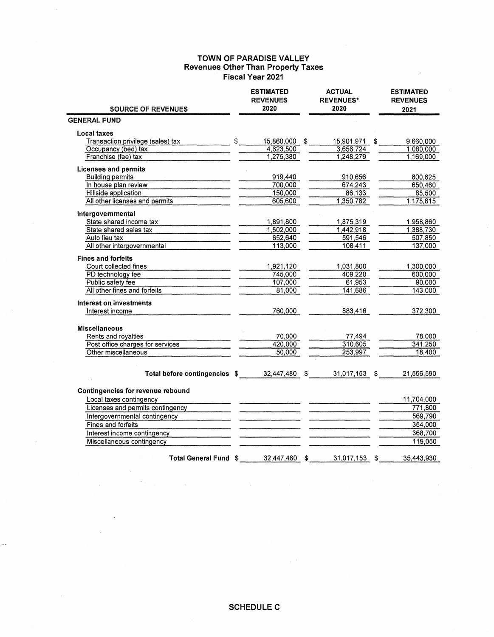### **TOWN OF PARADISE VALLEY Revenues Other Than Property Taxes Fiscal Year 2021**

|                                   |               | <b>ESTIMATED</b><br><b>REVENUES</b> | <b>ACTUAL</b><br><b>REVENUES*</b> | <b>ESTIMATED</b><br><b>REVENUES</b> |
|-----------------------------------|---------------|-------------------------------------|-----------------------------------|-------------------------------------|
| <b>SOURCE OF REVENUES</b>         |               | 2020                                | 2020                              | 2021                                |
| <b>GENERAL FUND</b>               |               |                                     |                                   |                                     |
| Local taxes                       |               |                                     |                                   |                                     |
| Transaction privilege (sales) tax | $\mathsf{\$}$ | 15,860,000 \$                       | 15,901,971 \$                     | 9,660,000                           |
| Occupancy (bed) tax               |               | 4,623,500                           | 3,656,724                         | 1,080,000                           |
| Franchise (fee) tax               |               | 1,275,380                           | 1,248,279                         | 1,169,000                           |
| <b>Licenses and permits</b>       |               |                                     |                                   |                                     |
| <b>Building permits</b>           |               | 919,440                             | 910,656                           | 800,625                             |
| In house plan review              |               | 700,000                             | 674,243                           | 650,460                             |
| Hillside application              |               | 150,000                             | 86,133                            | 85,500                              |
| All other licenses and permits    |               | 605,600                             | 1,350,782                         | 1,175,615                           |
| Intergovernmental                 |               |                                     |                                   |                                     |
| State shared income tax           |               | 1,891,800                           | 1,875,319                         | 1,958,860                           |
| State shared sales tax            |               | 1,502,000                           | 1,442,918                         | 1,388,730                           |
| Auto lieu tax                     |               | 652,640                             | 591,546                           | 507,850                             |
| All other intergovernmental       |               | 113,000                             | 108,411                           | 137,000                             |
| <b>Fines and forfeits</b>         |               |                                     |                                   |                                     |
| Court collected fines             |               | 1,921,120                           | 1,031,800                         | 1,300,000                           |
| PD technology fee                 |               | 745,000                             | 409,220                           | 600,000                             |
| Public safety fee                 |               | 107,000                             | 61,953                            | 90,000                              |
| All other fines and forfeits      |               | 81,000                              | 141,686                           | 143,000                             |
| Interest on investments           |               |                                     |                                   |                                     |
| Interest income                   |               | 760,000                             | 883,416                           | 372,300                             |
| <b>Miscellaneous</b>              |               |                                     |                                   |                                     |
| Rents and royalties               |               | 70,000                              | 77,494                            | 78,000                              |
| Post office charges for services  |               | 420,000                             | 310,605                           | 341,250                             |
| Other miscellaneous               |               | 50,000                              | 253,997                           | 18,400                              |
|                                   |               |                                     |                                   |                                     |
| Total before contingencies \$     |               | 32,447,480 \$                       | 31,017,153 \$                     | 21,556,590                          |
| Contingencies for revenue rebound |               |                                     |                                   |                                     |
| Local taxes contingency           |               |                                     |                                   | 11,704,000                          |
| Licenses and permits contingency  |               |                                     |                                   | 771,800                             |
| Intergovernmental contingency     |               |                                     |                                   | 569,790                             |
| Fines and forfeits                |               |                                     |                                   | 354,000                             |
| Interest income contingency       |               |                                     |                                   | 368,700                             |
| Miscellaneous contingency         |               |                                     |                                   | 119,050                             |
|                                   |               |                                     |                                   |                                     |
| Total General Fund \$             |               | 32,447,480                          | \$<br>31,017,153                  | \$<br>35,443,930                    |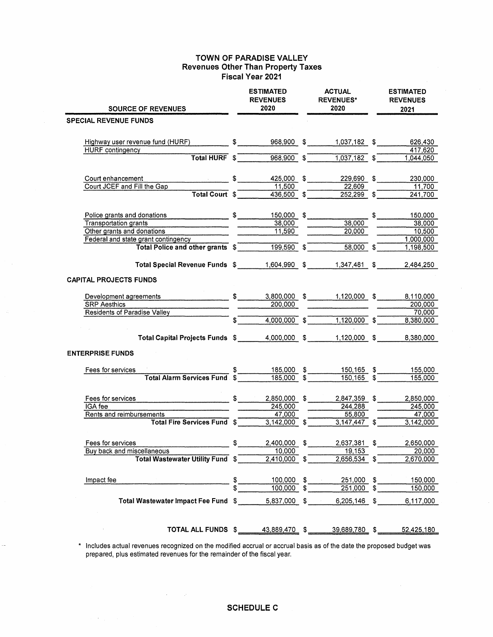### **TOWN OF PARADISE VALLEY Revenues Other Than Property Taxes Fiscal Year 2021**

| <b>SOURCE OF REVENUES</b>                                                                                                                                                                                                           |            | <b>ESTIMATED</b><br><b>REVENUES</b><br>2020                                                              | <b>ACTUAL</b><br><b>REVENUES*</b><br>2020 |                | <b>ESTIMATED</b><br><b>REVENUES</b><br>2021 |
|-------------------------------------------------------------------------------------------------------------------------------------------------------------------------------------------------------------------------------------|------------|----------------------------------------------------------------------------------------------------------|-------------------------------------------|----------------|---------------------------------------------|
| <b>SPECIAL REVENUE FUNDS</b>                                                                                                                                                                                                        |            |                                                                                                          |                                           |                |                                             |
|                                                                                                                                                                                                                                     |            |                                                                                                          |                                           |                |                                             |
| Highway user revenue fund (HURF) $$$ 968,900 $$$ 1,037,182 $$$ 626,430                                                                                                                                                              |            |                                                                                                          |                                           |                |                                             |
| <b>HURF</b> contingency                                                                                                                                                                                                             |            |                                                                                                          |                                           |                | 417,620                                     |
|                                                                                                                                                                                                                                     |            | Total HURF $\sqrt[6]{\begin{array}{c} 5 \end{array}}$ 968,900 $\sqrt[6]{\begin{array}{c} 9 \end{array}}$ | $\overline{1,037,182}$ \$                 |                | 1,044,050                                   |
| Court enhancement                                                                                                                                                                                                                   |            | 425,000 \$                                                                                               | 229,690 \$                                |                | 230,000                                     |
| Court JCEF and Fill the Gap                                                                                                                                                                                                         |            | 11,500                                                                                                   | 22,609                                    |                | 11.700                                      |
| Total Court $s$                                                                                                                                                                                                                     |            | $436,500$ \$                                                                                             | $252,299$ \$                              |                | 241,700                                     |
| Police grants and donations<br>S                                                                                                                                                                                                    |            | 150,000 \$                                                                                               |                                           | $\mathfrak{S}$ | 150,000                                     |
| Transportation grants <b>Container and Transportation</b> contains the contact of the contact of the contact of the contact of the contact of the contact of the contact of the contact of the contact of the contact of the contac |            | 38,000                                                                                                   | 38,000                                    |                | 38,000                                      |
| Other grants and donations                                                                                                                                                                                                          |            | 11,590                                                                                                   | 20,000                                    |                | 10,500                                      |
| Federal and state grant contingency<br>Total Police and other grants $\sqrt[3]{\begin{array}{c} 199,590 \\ 199,590 \end{array}}$                                                                                                    |            |                                                                                                          |                                           |                | 1,000,000                                   |
|                                                                                                                                                                                                                                     |            |                                                                                                          | $58,000$ \$                               |                | 1,198,500                                   |
| Total Special Revenue Funds \$                                                                                                                                                                                                      |            | 1,604,990 \$                                                                                             | 1,347,481 \$                              |                | 2.484,250                                   |
| <b>CAPITAL PROJECTS FUNDS</b>                                                                                                                                                                                                       |            |                                                                                                          |                                           |                |                                             |
| Development agreements <b>Development</b> and the set of the set of the set of the set of the set of the set of the set of the set of the set of the set of the set of the set of the set of the set of the set of the set of the s |            |                                                                                                          | $\frac{1}{2}$ 3,800,000 \$ 1,120,000 \$   |                | 8,110,000                                   |
| <b>SRP</b> Aesthics                                                                                                                                                                                                                 |            | 200,000                                                                                                  |                                           |                | 200,000                                     |
| <b>Residents of Paradise Valley</b>                                                                                                                                                                                                 |            |                                                                                                          |                                           |                | 70,000                                      |
|                                                                                                                                                                                                                                     | $\sqrt{s}$ | $4,000,000$ \$                                                                                           | $\overline{1,120,000}$ \$                 |                | 8,380,000                                   |
| Total Capital Projects Funds \$4,000,000 \$                                                                                                                                                                                         |            |                                                                                                          | 1,120,000 \$                              |                | 8,380,000                                   |
| <b>ENTERPRISE FUNDS</b>                                                                                                                                                                                                             |            |                                                                                                          |                                           |                |                                             |
| Fees for services                                                                                                                                                                                                                   |            | 185,000 \$                                                                                               | 150,165 \$                                |                | 155,000                                     |
| <b>Total Alarm Services Fund \$</b>                                                                                                                                                                                                 |            | $\frac{185,000}{9}$ \$                                                                                   | $150,165$ \$                              |                | 155,000                                     |
| Fees for services                                                                                                                                                                                                                   | \$         | 2,850,000 \$                                                                                             | $2,847,359$ \$                            |                | 2,850,000                                   |
| IGA fee                                                                                                                                                                                                                             |            | 245,000                                                                                                  | 244,288                                   |                | 245,000                                     |
| Rents and reimbursements                                                                                                                                                                                                            |            | 47,000                                                                                                   | 55,800                                    |                | 47,000                                      |
| Total Fire Services Fund \$                                                                                                                                                                                                         |            | $\overline{3,142,000}$ \$                                                                                | $3,147,447$ \$                            |                | 3,142,000                                   |
| Fees for services                                                                                                                                                                                                                   | \$         | 2.400,000                                                                                                | \$<br>2,637,381                           | \$             | 2.650.000                                   |
| Buy back and miscellaneous                                                                                                                                                                                                          |            | 10,000                                                                                                   | 19,153                                    |                | 20,000                                      |
| <b>Total Wastewater Utility Fund \$</b>                                                                                                                                                                                             |            | $2,410,000$ \$                                                                                           | $2,656,534$ \$                            |                | 2,670,000                                   |
| Impact fee                                                                                                                                                                                                                          |            |                                                                                                          | $251,000$ \$                              |                | 150,000                                     |
|                                                                                                                                                                                                                                     |            | $\frac{100,000}{100,000}$ \$                                                                             | $251,000$ \$                              |                | 150,000                                     |
| Total Wastewater Impact Fee Fund \$ 5,837,000 \$                                                                                                                                                                                    |            |                                                                                                          | $6,205,146$ \$                            |                | 6,117,000                                   |
| TOTAL ALL FUNDS \$43,889,470 \$43,889,780 \$45.50                                                                                                                                                                                   |            |                                                                                                          |                                           |                | 52,425,180                                  |

\* Includes actual revenues recognized on the modified accrual or accrual basis as of the date the proposed budget was prepared, plus estimated revenues for the remainder of the fiscal year.

 $\sim$ 

 $\mathcal{A}=\mathcal{A}$ 

 $\sim 10^6$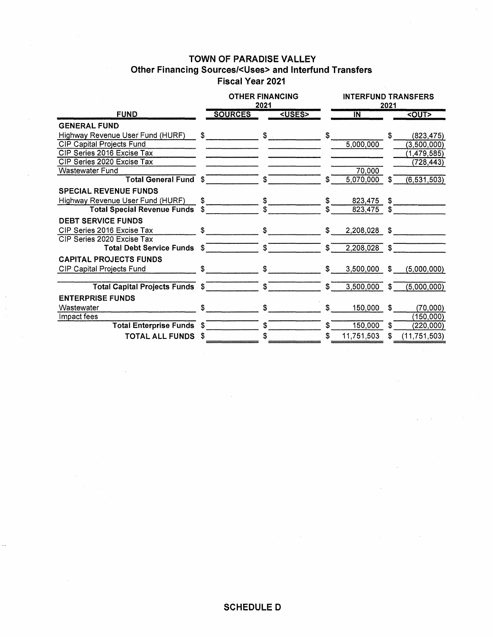# **TOWN OF PARADISE VALLEY Other Financing Sources/<Uses> and lnterfund Transfers Fiscal Year 2021**

|                                    |      | <b>OTHER FINANCING</b><br>2021 |               | <b>INTERFUND TRANSFERS</b><br>2021 |            |     |                |
|------------------------------------|------|--------------------------------|---------------|------------------------------------|------------|-----|----------------|
| <b>FUND</b>                        |      | <b>SOURCES</b>                 | <uses></uses> |                                    | IN         |     | <out></out>    |
| <b>GENERAL FUND</b>                |      |                                |               |                                    |            |     |                |
| Highway Revenue User Fund (HURF)   | \$   |                                | $$^{\circ}$   | \$                                 |            | \$. | (823, 475)     |
| <b>CIP Capital Projects Fund</b>   |      |                                |               |                                    | 5,000,000  |     | (3,500,000)    |
| CIP Series 2016 Excise Tax         |      |                                |               |                                    |            |     | (1,479,585)    |
| CIP Series 2020 Excise Tax         |      |                                |               |                                    |            |     | (728, 443)     |
| Wastewater Fund                    |      |                                |               |                                    | 70,000     |     |                |
| <b>Total General Fund \$</b>       |      |                                | \$            | S.                                 | 5,070,000  | \$  | (6, 531, 503)  |
| <b>SPECIAL REVENUE FUNDS</b>       |      |                                |               |                                    |            |     |                |
| Highway Revenue User Fund (HURF)   | \$.  |                                |               | \$                                 | 823,475    | S.  |                |
| <b>Total Special Revenue Funds</b> | \$.  |                                |               |                                    | 823,475    |     |                |
| <b>DEBT SERVICE FUNDS</b>          |      |                                |               |                                    |            |     |                |
| CIP Series 2016 Excise Tax         | \$   |                                | \$            | \$                                 | 2,208,028  | \$  |                |
| CIP Series 2020 Excise Tax         |      |                                |               |                                    |            |     |                |
| <b>Total Debt Service Funds</b>    | \$   |                                | \$            | \$                                 | 2,208,028  | \$  |                |
| <b>CAPITAL PROJECTS FUNDS</b>      |      |                                |               |                                    |            |     |                |
| <b>CIP Capital Projects Fund</b>   | \$.  |                                | \$.           | \$                                 | 3,500,000  | S.  | (5,000,000)    |
| Total Capital Projects Funds \$    |      |                                | \$            | \$                                 | 3,500,000  | S.  | (5,000,000)    |
| <b>ENTERPRISE FUNDS</b>            |      |                                |               |                                    |            |     |                |
| Wastewater                         | \$   |                                | \$            | \$                                 | 150,000    | \$  | (70,000)       |
| Impact fees                        |      |                                |               |                                    |            |     | (150,000)      |
| <b>Total Enterprise Funds</b>      | - \$ |                                | \$.           | \$.                                | 150,000    | S   | (220,000)      |
| <b>TOTAL ALL FUNDS</b>             | \$   |                                |               | \$                                 | 11,751,503 | \$  | (11, 751, 503) |

# **SCHEDULED**

 $\sim 10^7$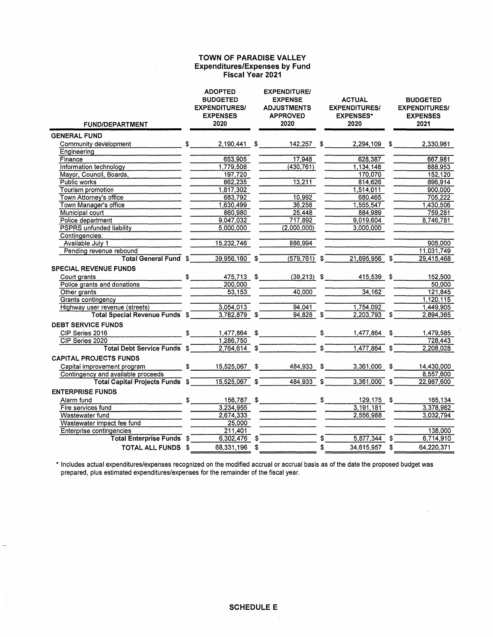### **TOWN OF PARADISE VALLEY Expenditures/Expenses by Fund Fiscal Year 2021**

| <b>FUND/DEPARTMENT</b>                                            |    | <b>ADOPTED</b><br><b>BUDGETED</b><br><b>EXPENDITURES/</b><br><b>EXPENSES</b><br>2020 | <b>EXPENDITURE/</b><br><b>EXPENSE</b><br><b>ADJUSTMENTS</b><br><b>APPROVED</b><br>2020 |         | <b>ACTUAL</b><br><b>EXPENDITURES/</b><br><b>EXPENSES*</b><br>2020 |    | <b>BUDGETED</b><br><b>EXPENDITURES/</b><br><b>EXPENSES</b><br>2021 |
|-------------------------------------------------------------------|----|--------------------------------------------------------------------------------------|----------------------------------------------------------------------------------------|---------|-------------------------------------------------------------------|----|--------------------------------------------------------------------|
| <b>GENERAL FUND</b>                                               |    |                                                                                      |                                                                                        |         |                                                                   |    |                                                                    |
| Community development                                             |    | $\mathbb{S}$ is the set of $\mathbb{S}$<br>$2,190,441$ \$                            | 142,257 \$                                                                             |         | 2,294,109 \$                                                      |    | 2,330,961                                                          |
| Engineering                                                       |    |                                                                                      |                                                                                        |         |                                                                   |    |                                                                    |
| Finance                                                           |    | 653,905                                                                              | 17,948                                                                                 |         | 628,387                                                           |    | 667,981                                                            |
| Information technology                                            |    | 1,779,508                                                                            | (430, 761)                                                                             |         | 1,134,148                                                         |    | 888.953                                                            |
| Mayor, Council, Boards,                                           |    | 197,720                                                                              |                                                                                        |         | 170,070                                                           |    | 152,120                                                            |
| Public works                                                      |    | 862,235                                                                              | 13,211                                                                                 |         | 814,626                                                           |    | 896,914                                                            |
| Tourism promotion                                                 |    | 1,817,302                                                                            |                                                                                        |         | 1,514,011                                                         |    | 900,000                                                            |
| Town Attorney's office                                            |    | 683,792                                                                              | 10,992                                                                                 |         | 680,465                                                           |    | 705.222                                                            |
| Town Manager's office                                             |    | 1,630,499                                                                            | 36,258                                                                                 |         | 1,555,547                                                         |    | 1,430,506                                                          |
| Municipal court                                                   |    | 860,980                                                                              | 25,448                                                                                 |         | 884,989                                                           |    | 759,281                                                            |
| Police department                                                 |    | 9,047,032                                                                            | 717.892                                                                                |         | 9,019,604                                                         |    | 8,746,781                                                          |
| <b>PSPRS</b> unfunded liability                                   |    | 5,000,000                                                                            | (2,000,000)                                                                            |         | 3,000,000                                                         |    |                                                                    |
| Contingencies:                                                    |    |                                                                                      |                                                                                        |         |                                                                   |    |                                                                    |
| Available July 1                                                  |    | 15,232,746                                                                           | 886,994                                                                                |         |                                                                   |    | 905,000                                                            |
| Pending revenue rebound                                           |    |                                                                                      |                                                                                        |         |                                                                   |    | 11,031,749                                                         |
| <b>Total General Fund</b> \$                                      |    | 39,956,160 \$                                                                        | $(579, 761)$ \$                                                                        |         | $21,695,956$ \$                                                   |    | 29,415,468                                                         |
| <b>SPECIAL REVENUE FUNDS</b>                                      |    |                                                                                      |                                                                                        |         |                                                                   |    |                                                                    |
| $\overline{\phantom{a}}$ $\overline{\phantom{a}}$<br>Court grants |    | 475,713 \$                                                                           | $(39,213)$ \$                                                                          |         | 415,539 \$                                                        |    | 152,500                                                            |
| Police grants and donations                                       |    | 200,000                                                                              |                                                                                        |         |                                                                   |    | 50,000                                                             |
| Other grants                                                      |    | 53,153                                                                               | 40,000                                                                                 |         | 34,162                                                            |    | 121,845                                                            |
| Grants contingency                                                |    |                                                                                      |                                                                                        |         |                                                                   |    | 1,120,115                                                          |
| Highway user revenue (streets)                                    |    | 3,054,013                                                                            | 94.041                                                                                 |         | 1,754,092                                                         |    | 1,449,905                                                          |
| Total Special Revenue Funds \$                                    |    | 3,782,879 \$                                                                         | $94,828$ \$                                                                            |         | $2,203,793$ \$                                                    |    | 2,894,365                                                          |
| <b>DEBT SERVICE FUNDS</b>                                         |    |                                                                                      |                                                                                        |         |                                                                   |    |                                                                    |
| CIP Series 2016                                                   |    | $\frac{1}{2}$                                                                        | $1,477,864$ \$ \$                                                                      |         | 1,477,864 \$                                                      |    | 1,479,585                                                          |
| CIP Series 2020                                                   |    | 1,286,750                                                                            |                                                                                        |         |                                                                   |    | 728,443                                                            |
| Total Debt Service Funds \$                                       |    | $2,764,614$ \$                                                                       |                                                                                        |         | $ \circ$ $-$<br>1,477,864                                         | \$ | 2,208,028                                                          |
|                                                                   |    |                                                                                      |                                                                                        |         |                                                                   |    |                                                                    |
| <b>CAPITAL PROJECTS FUNDS</b>                                     |    |                                                                                      |                                                                                        |         |                                                                   |    |                                                                    |
| Capital improvement program                                       |    | $$ 15,525,067$ \$                                                                    | 484,933 \$                                                                             |         | 3,361,000                                                         | S. | 14,430,000                                                         |
| Contingency and available proceeds                                |    |                                                                                      | $484,933$ \$                                                                           |         |                                                                   |    | 8,557,600                                                          |
| Total Capital Projects Funds \$ 15,525,067 \$                     |    |                                                                                      |                                                                                        |         | $3,361,000$ \$                                                    |    | 22,987,600                                                         |
| <b>ENTERPRISE FUNDS</b>                                           |    |                                                                                      |                                                                                        |         |                                                                   |    |                                                                    |
| Alarm fund                                                        | \$ |                                                                                      | $156,787$ \$                                                                           | $\circ$ | 129,175 \$                                                        |    | 165,134                                                            |
| Fire services fund                                                |    | 3,234,955                                                                            |                                                                                        |         | 3,191,181                                                         |    | 3,378,982                                                          |
| Wastewater fund                                                   |    | 2,674,333                                                                            |                                                                                        |         | 2,556,988                                                         |    | 3,032,794                                                          |
| Wastewater impact fee fund                                        |    | 25,000                                                                               |                                                                                        |         |                                                                   |    |                                                                    |
| Enterprise contingencies                                          |    | 211.401                                                                              |                                                                                        |         |                                                                   |    | 138,000                                                            |
| <b>Total Enterprise Funds \$</b>                                  |    | $6,302,476$ \$                                                                       |                                                                                        |         | 5,877,344                                                         |    | 6,714,910                                                          |
| TOTAL ALL FUNDS \$                                                |    | 68,331,196 \$                                                                        |                                                                                        | \$      | 34,615,957 \$                                                     |    | 64,220,371                                                         |

\* Includes actual expenditures/expenses recognized on the modified accrual or accrual basis as of the date the proposed budget was prepared, plus estimated expenditures/expenses for the remainder of the fiscal year.

 $\mathcal{L}$ 

 $\mathcal{F}_{\mathcal{G}}$ 

 $\bar{z}$ 

 $\mathbb{R}^2$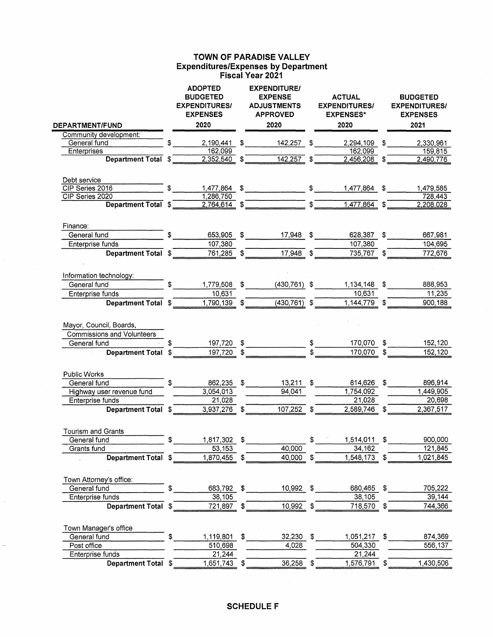## **TOWN OF PARADISE VALLEY Expenditures/Expenses by Department Fiscal Year 2021**

| <b>DEPARTMENT/FUND</b>                                       | <b>ADOPTED</b><br><b>BUDGETED</b><br><b>EXPENDITURES/</b><br><b>EXPENSES</b><br>2020 |              | <b>EXPENDITURE/</b><br><b>EXPENSE</b><br><b>ADJUSTMENTS</b><br><b>APPROVED</b><br>2020 | <b>ACTUAL</b><br><b>EXPENDITURES/</b><br><b>EXPENSES*</b><br>2020 | <b>BUDGETED</b><br><b>EXPENDITURES/</b><br><b>EXPENSES</b><br>2021 |
|--------------------------------------------------------------|--------------------------------------------------------------------------------------|--------------|----------------------------------------------------------------------------------------|-------------------------------------------------------------------|--------------------------------------------------------------------|
| Community development:                                       |                                                                                      |              |                                                                                        |                                                                   |                                                                    |
| General fund                                                 | 2,190,441                                                                            | $\mathbb{S}$ | $142,257$ \$                                                                           | 2,294,109 \$                                                      | 2,330,961                                                          |
| Enterprises<br>Department Total \$                           | 162,099<br>2,352,540                                                                 |              | $142,257$ \$                                                                           | 162,099<br>$2,456,208$ \$                                         | 159,815<br>2,490,776                                               |
|                                                              |                                                                                      |              |                                                                                        |                                                                   |                                                                    |
| Debt service<br>CIP Series 2016                              |                                                                                      |              |                                                                                        |                                                                   |                                                                    |
| CIP Series 2020                                              | 1,286,750                                                                            |              | $1,477,864$ \$ \$                                                                      | 1,477,864 \$                                                      | 1,479,585<br>728,443                                               |
| Department Total \$                                          | 2,764,614                                                                            |              |                                                                                        | $\overline{\text{S}}$<br>1,477,864                                | \$<br>2,208,028                                                    |
|                                                              |                                                                                      |              |                                                                                        |                                                                   |                                                                    |
| Finance:                                                     |                                                                                      |              |                                                                                        |                                                                   |                                                                    |
| General fund                                                 | 653,905                                                                              | \$           | $17,948$ \$                                                                            | 628,387                                                           | \$<br>667,981                                                      |
| Enterprise funds                                             | 107,380                                                                              |              |                                                                                        | 107,380                                                           | 104,695                                                            |
| Department Total \$                                          | 761,285                                                                              |              | 17,948                                                                                 | 735,767                                                           | 772,676                                                            |
| Information technology:                                      |                                                                                      |              |                                                                                        |                                                                   |                                                                    |
| General fund                                                 | 1,779,508                                                                            | \$           | $(430, 761)$ \$                                                                        | 1,134,148                                                         | \$<br>888,953                                                      |
| Enterprise funds                                             | 10,631                                                                               |              |                                                                                        | 10,631                                                            | 11,235                                                             |
| Department Total \$                                          | 1,790,139                                                                            |              | $(430, 761)$ \$                                                                        | 1,144,779                                                         | 900,188                                                            |
| Mayor, Council, Boards,<br><b>Commissions and Volunteers</b> |                                                                                      |              |                                                                                        |                                                                   |                                                                    |
| General fund                                                 | 197,720                                                                              | \$           |                                                                                        | 170,070                                                           | \$<br>152,120                                                      |
| <b>Department Total</b>                                      | \$<br>197,720                                                                        |              |                                                                                        | 170,070                                                           | \$<br>152,120                                                      |
| Public Works                                                 |                                                                                      |              |                                                                                        |                                                                   |                                                                    |
| General fund                                                 | \$<br>862,235                                                                        | $\sqrt{3}$   | $13,211$ \$                                                                            | 814,626                                                           | \$<br>896,914                                                      |
| Highway user revenue fund                                    | 3,054,013                                                                            |              | 94,041                                                                                 | 1,754,092                                                         | 1,449,905                                                          |
| Enterprise funds                                             | 21,028                                                                               |              |                                                                                        | 21,028                                                            | 20,698                                                             |
| Department Total \$                                          | 3,937,276 \$                                                                         |              | 107,252 \$                                                                             | 2,589,746 \$                                                      | 2,367,517                                                          |
| <b>Tourism and Grants</b>                                    |                                                                                      |              |                                                                                        |                                                                   |                                                                    |
| General fund                                                 | \$<br>1,817,302 \$                                                                   |              |                                                                                        | \$<br>$1,514,011$ \$                                              | 900,000                                                            |
| Grants fund                                                  | 53,153                                                                               |              | 40,000                                                                                 | 34,162                                                            | 121,845                                                            |
| Department Total \$                                          | 1,870,455                                                                            | \$           | 40,000                                                                                 | \$<br>1,548,173                                                   | \$<br>1,021,845                                                    |
| Town Attorney's office:                                      |                                                                                      |              |                                                                                        |                                                                   |                                                                    |
| General fund                                                 | \$<br>683,792 \$                                                                     |              | 10,992 \$                                                                              | 680,465 \$                                                        | 705,222                                                            |
| Enterprise funds                                             | 38,105                                                                               |              |                                                                                        | 38,105                                                            | 39,144                                                             |
| <b>Department Total</b>                                      | \$<br>721,897                                                                        | \$           | 10,992                                                                                 | \$<br>718,570 \$                                                  | 744,366                                                            |
|                                                              |                                                                                      |              |                                                                                        |                                                                   |                                                                    |
| Town Manager's office                                        |                                                                                      |              |                                                                                        |                                                                   |                                                                    |
| General fund                                                 | \$<br>1,119,801                                                                      | \$           | $32,230$ \$                                                                            | 1,051,217 \$                                                      | 874,369                                                            |
| Post office<br>Enterprise funds                              | 510,698<br>21,244                                                                    |              | 4,028                                                                                  | 504,330<br>21,244                                                 | 556,137                                                            |
| Department Total \$                                          | 1,651,743 \$                                                                         |              | 36,258                                                                                 | \$<br>1,576,791 \$                                                | 1,430,506                                                          |
|                                                              |                                                                                      |              |                                                                                        |                                                                   |                                                                    |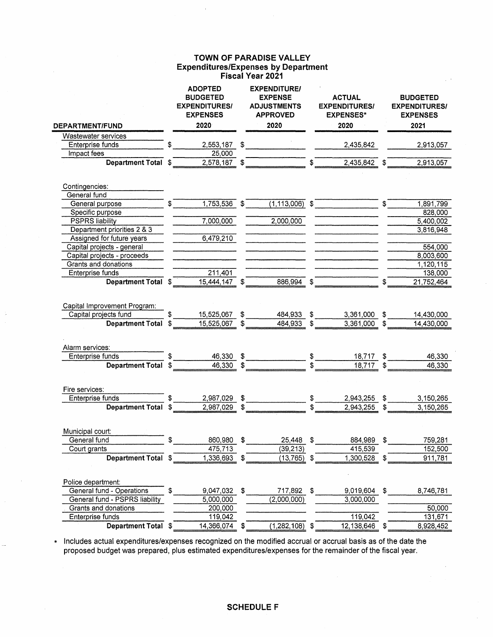## **TOWN OF PARADISE VALLEY Expenditures/Expenses by Department Fiscal Year 2021**

| <b>DEPARTMENT/FUND</b>                                                           |    | <b>ADOPTED</b><br><b>BUDGETED</b><br><b>EXPENDITURES/</b><br><b>EXPENSES</b><br>2020 | <b>EXPENDITURE/</b><br><b>EXPENSE</b><br><b>ADJUSTMENTS</b><br><b>APPROVED</b><br>2020 | <b>ACTUAL</b><br><b>EXPENDITURES/</b><br><b>EXPENSES*</b><br>2020 |          | <b>BUDGETED</b><br><b>EXPENDITURES/</b><br><b>EXPENSES</b><br>2021 |
|----------------------------------------------------------------------------------|----|--------------------------------------------------------------------------------------|----------------------------------------------------------------------------------------|-------------------------------------------------------------------|----------|--------------------------------------------------------------------|
| <b>Wastewater services</b>                                                       |    |                                                                                      |                                                                                        |                                                                   |          |                                                                    |
| Enterprise funds                                                                 |    | 2,553,187                                                                            | \$                                                                                     | 2,435,842                                                         |          |                                                                    |
| Impact fees                                                                      |    | 25,000                                                                               |                                                                                        |                                                                   |          | 2,913,057                                                          |
| <b>Department Total</b>                                                          |    | 2,578,187                                                                            |                                                                                        | 2,435,842                                                         |          | 2,913,057                                                          |
|                                                                                  |    |                                                                                      |                                                                                        |                                                                   |          |                                                                    |
| Contingencies:                                                                   |    |                                                                                      |                                                                                        |                                                                   |          |                                                                    |
| General fund                                                                     |    |                                                                                      |                                                                                        |                                                                   |          |                                                                    |
| General purpose                                                                  |    | 1,753,536                                                                            | \$<br>$(1, 113, 006)$ \$                                                               |                                                                   | \$       | 1,891,799                                                          |
| Specific purpose                                                                 |    |                                                                                      |                                                                                        |                                                                   |          | 828,000                                                            |
| <b>PSPRS liability</b>                                                           |    | 7,000,000                                                                            | 2,000,000                                                                              |                                                                   |          | 5,400,002                                                          |
| Department priorities 2 & 3                                                      |    |                                                                                      |                                                                                        |                                                                   |          | 3,816,948                                                          |
| Assigned for future years                                                        |    | 6,479,210                                                                            |                                                                                        |                                                                   |          |                                                                    |
| Capital projects - general                                                       |    |                                                                                      |                                                                                        |                                                                   |          | 554,000                                                            |
| Capital projects - proceeds                                                      |    |                                                                                      |                                                                                        |                                                                   |          | 8,003,600                                                          |
| Grants and donations                                                             |    |                                                                                      |                                                                                        |                                                                   |          | 1,120,115                                                          |
| Enterprise funds                                                                 |    | 211,401                                                                              |                                                                                        |                                                                   |          | 138,000                                                            |
| <b>Department Total</b>                                                          |    | 15,444,147                                                                           | 886,994                                                                                | \$                                                                | \$       | 21,752,464                                                         |
| Capital Improvement Program:<br>Capital projects fund<br><b>Department Total</b> | \$ | 15,525,067<br>15,525,067                                                             | \$<br>484,933<br>484,933                                                               | \$<br>3,361,000<br>3,361,000                                      | \$<br>\$ | 14,430,000<br>14,430,000                                           |
| Alarm services:                                                                  |    |                                                                                      |                                                                                        |                                                                   |          |                                                                    |
| Enterprise funds                                                                 |    | 46,330                                                                               | \$                                                                                     | 18,717                                                            | \$       | 46,330                                                             |
| <b>Department Total</b>                                                          |    | 46,330                                                                               |                                                                                        | 18,717                                                            |          | 46,330                                                             |
|                                                                                  |    |                                                                                      |                                                                                        |                                                                   |          |                                                                    |
| Fire services:                                                                   |    |                                                                                      |                                                                                        |                                                                   |          |                                                                    |
| Enterprise funds                                                                 |    | 2,987,029                                                                            | \$                                                                                     | \$<br>2,943,255                                                   | \$       | 3,150,265                                                          |
| <b>Department Total</b>                                                          | S. | 2,987,029                                                                            |                                                                                        | 2,943,255                                                         | \$       | 3,150,265                                                          |
| Municipal court:                                                                 |    |                                                                                      |                                                                                        |                                                                   |          |                                                                    |
| General fund                                                                     | \$ | 860,980                                                                              | \$<br>25,448                                                                           | \$<br>884,989                                                     | \$       | 759,281                                                            |
| Court grants                                                                     |    | 475,713                                                                              | (39, 213)                                                                              | 415,539                                                           |          | 152,500                                                            |
| Department Total \$                                                              |    | 1,336,693                                                                            | \$<br>$(13, 765)$ \$                                                                   | 1,300,528                                                         | \$       | 911,781                                                            |
|                                                                                  |    |                                                                                      |                                                                                        |                                                                   |          |                                                                    |
| Police department:<br>General fund - Operations                                  | \$ | 9,047,032 \$                                                                         | 717,892 \$                                                                             | 9,019,604                                                         | \$       | 8,746,781                                                          |
| General fund - PSPRS liability                                                   |    | 5,000,000                                                                            | (2,000,000)                                                                            | 3,000,000                                                         |          |                                                                    |
| Grants and donations                                                             |    | 200,000                                                                              |                                                                                        |                                                                   |          | 50,000                                                             |
| Enterprise funds                                                                 |    | 119,042                                                                              |                                                                                        | 119,042                                                           |          | 131,671                                                            |
| Department Total \$                                                              |    | 14,366,074 \$                                                                        | $(1,282,108)$ \$                                                                       | 12,138,646                                                        |          |                                                                    |
|                                                                                  |    |                                                                                      |                                                                                        |                                                                   | \$       | 8,928,452                                                          |

\* Includes actual expenditures/expenses recognized on the modified accrual or accrual basis as of the date the proposed budget was prepared, plus estimated expenditures/expenses for the remainder of the fiscal year.